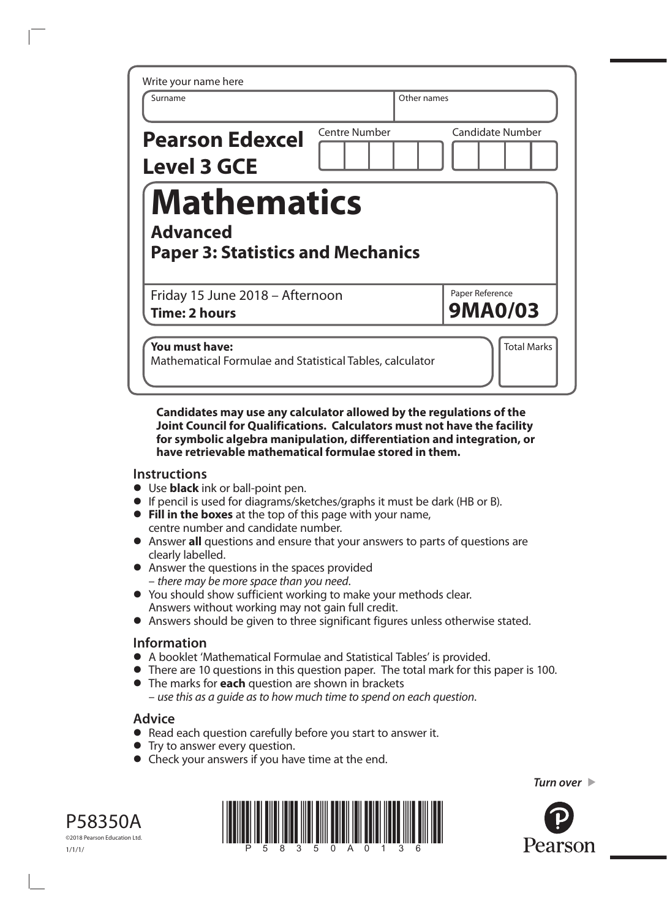| Write your name here<br>Surname                                                   | Other names          |                                   |
|-----------------------------------------------------------------------------------|----------------------|-----------------------------------|
| <b>Pearson Edexcel</b><br><b>Level 3 GCE</b>                                      | <b>Centre Number</b> | <b>Candidate Number</b>           |
| <b>Mathematics</b><br><b>Advanced</b><br><b>Paper 3: Statistics and Mechanics</b> |                      |                                   |
| Friday 15 June 2018 - Afternoon<br><b>Time: 2 hours</b>                           |                      | Paper Reference<br><b>9MA0/03</b> |
| You must have:<br>Mathematical Formulae and Statistical Tables, calculator        |                      | <b>Total Marks</b>                |

**Candidates may use any calculator allowed by the regulations of the Joint Council for Qualifications. Calculators must not have the facility for symbolic algebra manipulation, differentiation and integration, or have retrievable mathematical formulae stored in them.**

## **Instructions**

- **•** Use **black** ink or ball-point pen.
- **•** If pencil is used for diagrams/sketches/graphs it must be dark (HB or B).
- **• Fill in the boxes** at the top of this page with your name, centre number and candidate number.
- **•** Answer **all** questions and ensure that your answers to parts of questions are clearly labelled.
- **•** Answer the questions in the spaces provided – *there may be more space than you need*.
- **•** You should show sufficient working to make your methods clear. Answers without working may not gain full credit.
- **•** Answers should be given to three significant figures unless otherwise stated.

## **Information**

- **•** A booklet 'Mathematical Formulae and Statistical Tables' is provided.
- **•** There are 10 questions in this question paper. The total mark for this paper is 100.
- **•** The marks for **each** question are shown in brackets – *use this as a guide as to how much time to spend on each question*.

## **Advice**

- **•** Read each question carefully before you start to answer it.
- **•** Try to answer every question.
- **•** Check your answers if you have time at the end.





*Turn over* 

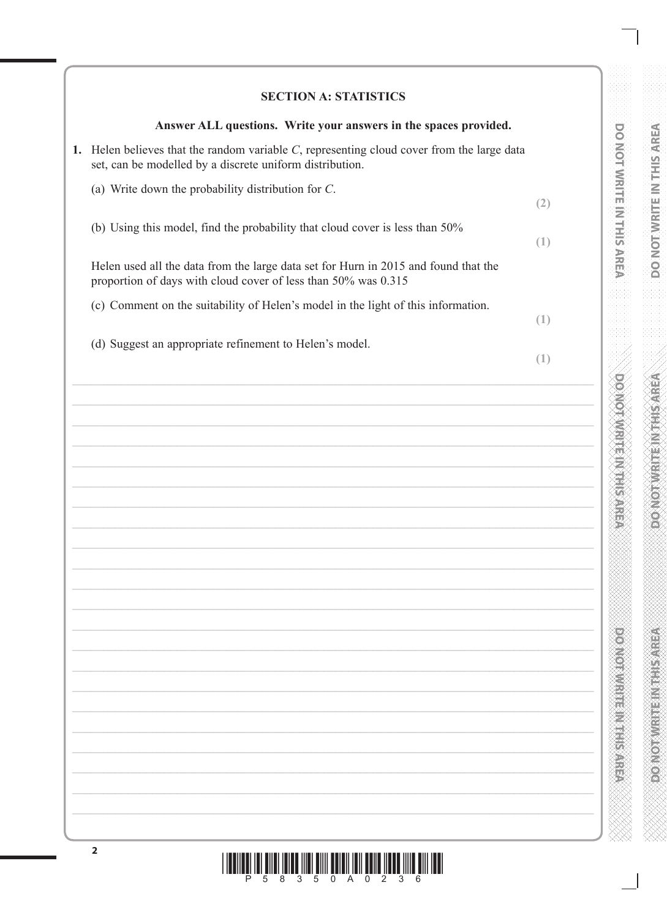# **SECTION A: STATISTICS**

**DO NOT WRITE IN THIS AREA** 

**DOMOTWRITE IN THIS AREA** 

**DOMOINMENT MAN SALE** 

e e de la composição<br>Traxémica

| Answer ALL questions. Write your answers in the spaces provided.                                                                                          |     |
|-----------------------------------------------------------------------------------------------------------------------------------------------------------|-----|
| 1. Helen believes that the random variable $C$ , representing cloud cover from the large data<br>set, can be modelled by a discrete uniform distribution. |     |
| (a) Write down the probability distribution for $C$ .                                                                                                     | (2) |
| (b) Using this model, find the probability that cloud cover is less than 50%                                                                              | (1) |
| Helen used all the data from the large data set for Hurn in 2015 and found that the<br>proportion of days with cloud cover of less than 50% was 0.315     |     |
| (c) Comment on the suitability of Helen's model in the light of this information.                                                                         | (1) |
| (d) Suggest an appropriate refinement to Helen's model.                                                                                                   | (1) |
|                                                                                                                                                           |     |
|                                                                                                                                                           |     |
|                                                                                                                                                           |     |
|                                                                                                                                                           |     |
|                                                                                                                                                           |     |
|                                                                                                                                                           |     |
|                                                                                                                                                           |     |
|                                                                                                                                                           |     |
|                                                                                                                                                           |     |
|                                                                                                                                                           |     |
|                                                                                                                                                           |     |
|                                                                                                                                                           |     |
|                                                                                                                                                           |     |
|                                                                                                                                                           |     |
|                                                                                                                                                           |     |
|                                                                                                                                                           |     |
|                                                                                                                                                           |     |

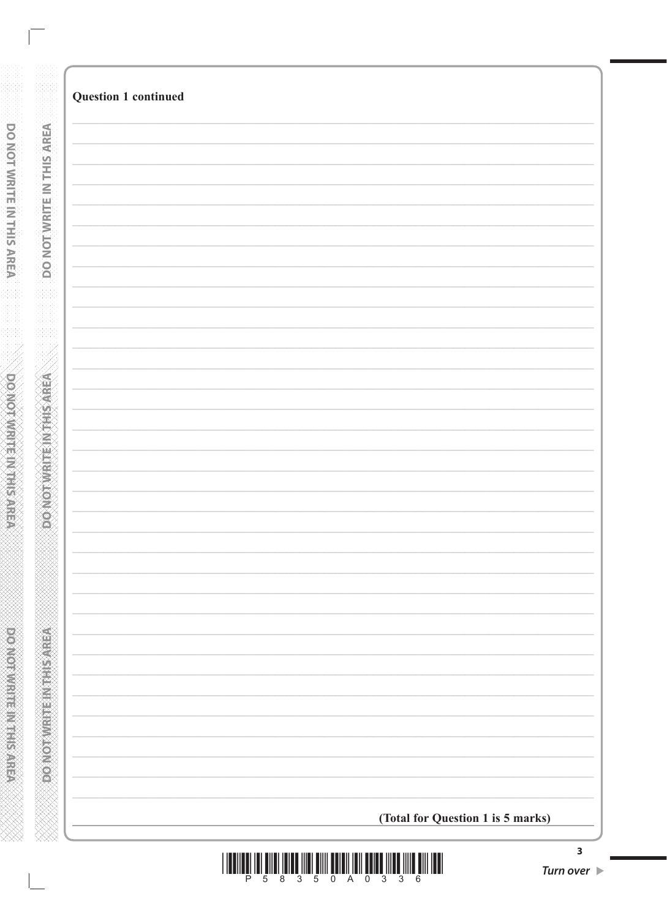| <b>Question 1 continued</b> |                                   |  |
|-----------------------------|-----------------------------------|--|
|                             |                                   |  |
|                             |                                   |  |
|                             |                                   |  |
|                             |                                   |  |
|                             |                                   |  |
|                             |                                   |  |
|                             |                                   |  |
|                             |                                   |  |
|                             |                                   |  |
|                             |                                   |  |
|                             |                                   |  |
|                             |                                   |  |
|                             |                                   |  |
|                             |                                   |  |
|                             |                                   |  |
|                             |                                   |  |
|                             |                                   |  |
|                             |                                   |  |
|                             |                                   |  |
|                             |                                   |  |
|                             |                                   |  |
|                             |                                   |  |
|                             |                                   |  |
|                             |                                   |  |
|                             |                                   |  |
|                             |                                   |  |
|                             |                                   |  |
|                             |                                   |  |
|                             |                                   |  |
|                             |                                   |  |
|                             |                                   |  |
|                             |                                   |  |
|                             |                                   |  |
|                             |                                   |  |
|                             | (Total for Question 1 is 5 marks) |  |

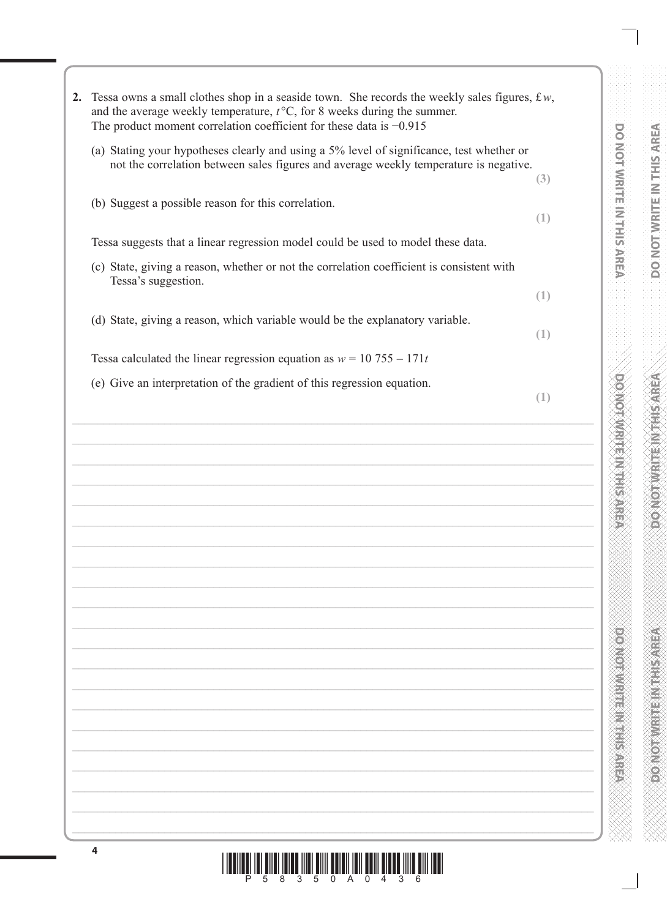| 2. | Tessa owns a small clothes shop in a seaside town. She records the weekly sales figures, $\text{\pounds} w$ ,<br>and the average weekly temperature, $t^{\circ}$ C, for 8 weeks during the summer.<br>The product moment correlation coefficient for these data is $-0.915$ |                                                             |
|----|-----------------------------------------------------------------------------------------------------------------------------------------------------------------------------------------------------------------------------------------------------------------------------|-------------------------------------------------------------|
|    | (a) Stating your hypotheses clearly and using a 5% level of significance, test whether or<br>not the correlation between sales figures and average weekly temperature is negative.                                                                                          | <b>DO NOT WRITE IN THIS AREA</b><br>(3)                     |
|    | (b) Suggest a possible reason for this correlation.                                                                                                                                                                                                                         | (1)                                                         |
|    | Tessa suggests that a linear regression model could be used to model these data.                                                                                                                                                                                            |                                                             |
|    | (c) State, giving a reason, whether or not the correlation coefficient is consistent with<br>Tessa's suggestion.                                                                                                                                                            |                                                             |
|    |                                                                                                                                                                                                                                                                             | (1)                                                         |
|    | (d) State, giving a reason, which variable would be the explanatory variable.                                                                                                                                                                                               | (1)                                                         |
|    | Tessa calculated the linear regression equation as $w = 10,755 - 171t$                                                                                                                                                                                                      |                                                             |
|    | (e) Give an interpretation of the gradient of this regression equation.                                                                                                                                                                                                     | (1)                                                         |
|    |                                                                                                                                                                                                                                                                             | <b>ONOTAINER NEWSPIEL</b><br><b>POSTER AND RESIDENCE OF</b> |
|    |                                                                                                                                                                                                                                                                             |                                                             |

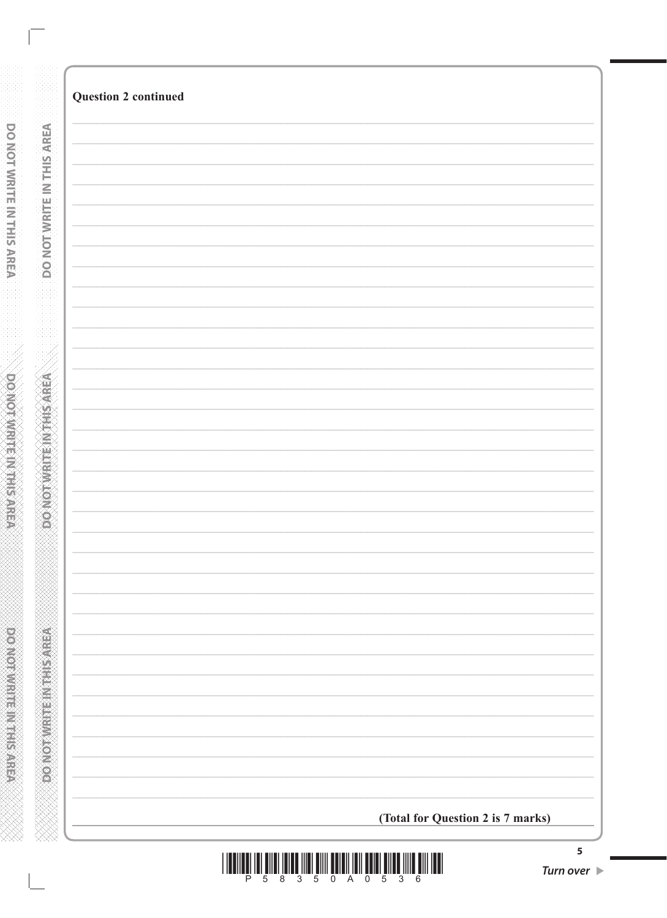| <b>Question 2 continued</b> |                                   |  |
|-----------------------------|-----------------------------------|--|
|                             |                                   |  |
|                             |                                   |  |
|                             |                                   |  |
|                             |                                   |  |
|                             |                                   |  |
|                             |                                   |  |
|                             |                                   |  |
|                             |                                   |  |
|                             |                                   |  |
|                             |                                   |  |
|                             |                                   |  |
|                             |                                   |  |
|                             |                                   |  |
|                             |                                   |  |
|                             |                                   |  |
|                             |                                   |  |
|                             |                                   |  |
|                             |                                   |  |
|                             |                                   |  |
|                             |                                   |  |
|                             |                                   |  |
|                             |                                   |  |
|                             |                                   |  |
|                             |                                   |  |
|                             |                                   |  |
|                             |                                   |  |
|                             |                                   |  |
|                             |                                   |  |
|                             |                                   |  |
|                             |                                   |  |
|                             |                                   |  |
|                             |                                   |  |
|                             |                                   |  |
|                             | (Total for Question 2 is 7 marks) |  |

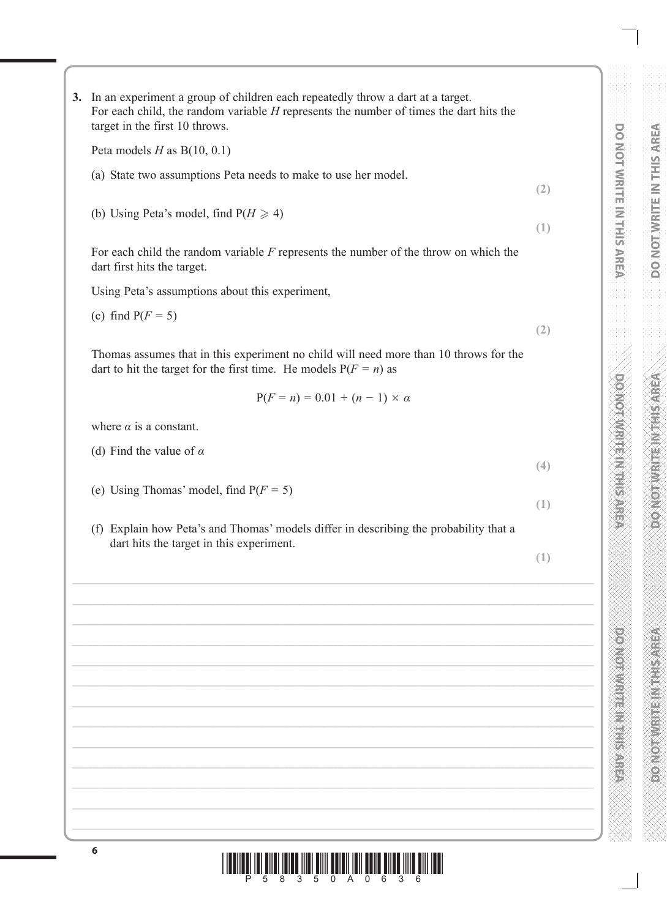**3.** In an experiment a group of children each repeatedly throw a dart at a target. For each child, the random variable *H* represents the number of times the dart hits the target in the first 10 throws.

Peta models *H* as B(10, 0.1)

- (a) State two assumptions Peta needs to make to use her model.
- (b) Using Peta's model, find  $P(H \ge 4)$

For each child the random variable *F* represents the number of the throw on which the dart first hits the target.

Using Peta's assumptions about this experiment,

(c) find  $P(F = 5)$ 

**(2)**

**(2)**

**(1)**

Thomas assumes that in this experiment no child will need more than 10 throws for the dart to hit the target for the first time. He models  $P(F = n)$  as

$$
P(F = n) = 0.01 + (n - 1) \times \alpha
$$

where  $\alpha$  is a constant.

- (d) Find the value of *α*
- (e) Using Thomas' model, find  $P(F = 5)$
- (f) Explain how Peta's and Thomas' models differ in describing the probability that a dart hits the target in this experiment.

**(1)**

**(4)**

**(1)**

**CONTRACTOR DO NOT WRITE IN THIS AREA**

\*P58350A0636\*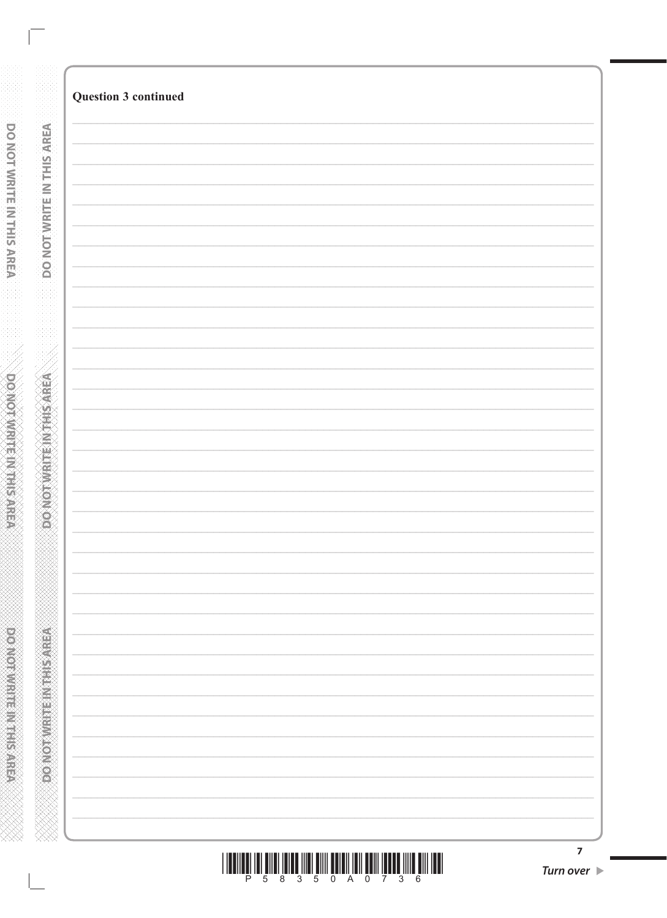| <b>Question 3 continued</b> |
|-----------------------------|
|                             |
|                             |
|                             |
|                             |
|                             |
|                             |
|                             |
|                             |
|                             |
|                             |
|                             |
|                             |
|                             |
|                             |
|                             |
|                             |
|                             |
|                             |
|                             |
|                             |
|                             |
|                             |
|                             |
|                             |
|                             |
|                             |
|                             |
|                             |
|                             |
|                             |
|                             |
|                             |
|                             |
|                             |
|                             |
|                             |
|                             |
|                             |
|                             |
|                             |
|                             |
|                             |
|                             |
|                             |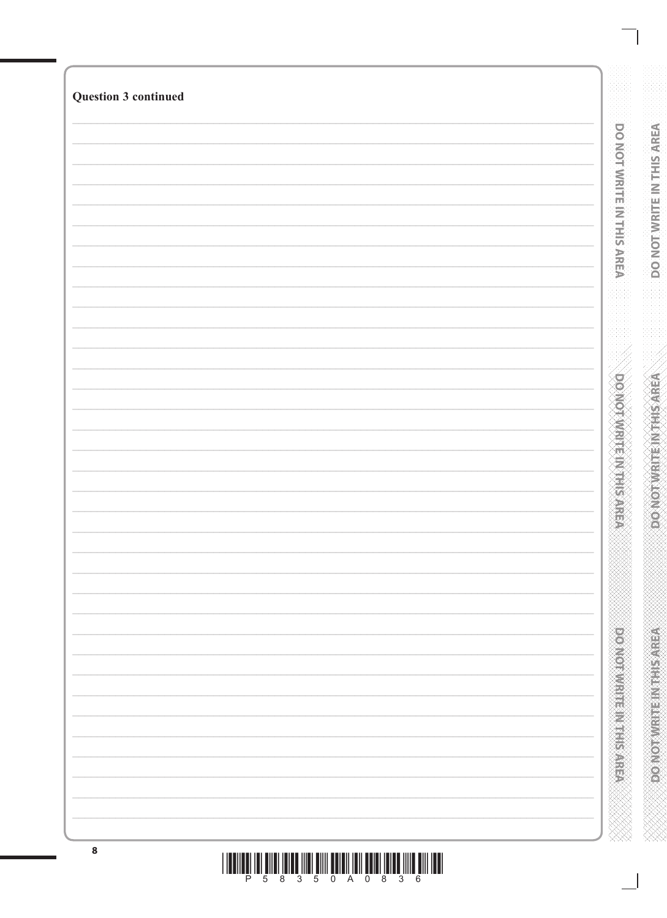| <b>Question 3 continued</b> |                             |
|-----------------------------|-----------------------------|
|                             |                             |
|                             |                             |
|                             | DO NOT WRITE IN THIS AREA   |
|                             |                             |
|                             |                             |
|                             |                             |
|                             |                             |
|                             |                             |
|                             |                             |
|                             |                             |
|                             |                             |
|                             |                             |
|                             |                             |
|                             |                             |
|                             |                             |
|                             |                             |
|                             |                             |
|                             |                             |
|                             |                             |
|                             |                             |
|                             | <b>DOMOTWRITEINTHIS ARE</b> |
|                             |                             |
|                             |                             |
|                             |                             |
|                             |                             |
|                             |                             |
|                             |                             |
|                             |                             |
|                             |                             |
|                             |                             |
|                             |                             |
|                             |                             |
|                             |                             |
|                             |                             |
|                             |                             |
|                             |                             |
|                             |                             |
|                             |                             |
|                             |                             |
|                             |                             |
|                             |                             |
|                             |                             |
|                             |                             |
|                             | <b>DONORMAL REGISTER</b>    |
|                             |                             |
|                             |                             |
|                             |                             |
|                             |                             |
|                             |                             |
|                             |                             |
|                             |                             |

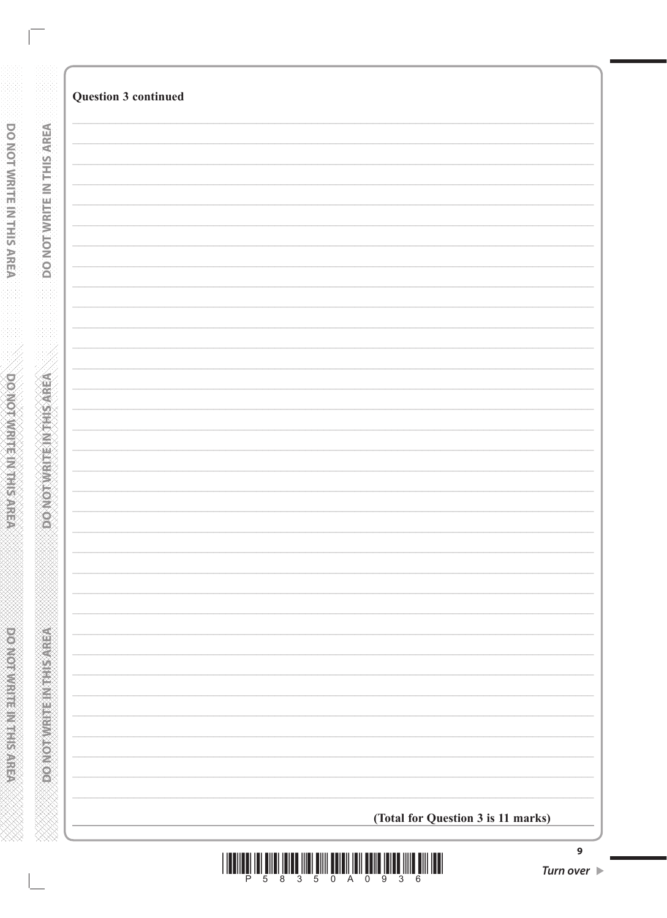| <b>Question 3 continued</b>        |
|------------------------------------|
|                                    |
|                                    |
|                                    |
|                                    |
|                                    |
|                                    |
|                                    |
|                                    |
|                                    |
|                                    |
|                                    |
|                                    |
|                                    |
|                                    |
|                                    |
|                                    |
|                                    |
|                                    |
|                                    |
|                                    |
|                                    |
|                                    |
|                                    |
|                                    |
|                                    |
|                                    |
|                                    |
|                                    |
|                                    |
|                                    |
|                                    |
|                                    |
|                                    |
|                                    |
|                                    |
|                                    |
|                                    |
|                                    |
|                                    |
|                                    |
|                                    |
|                                    |
|                                    |
|                                    |
|                                    |
|                                    |
|                                    |
| (Total for Question 3 is 11 marks) |



 $\overline{9}$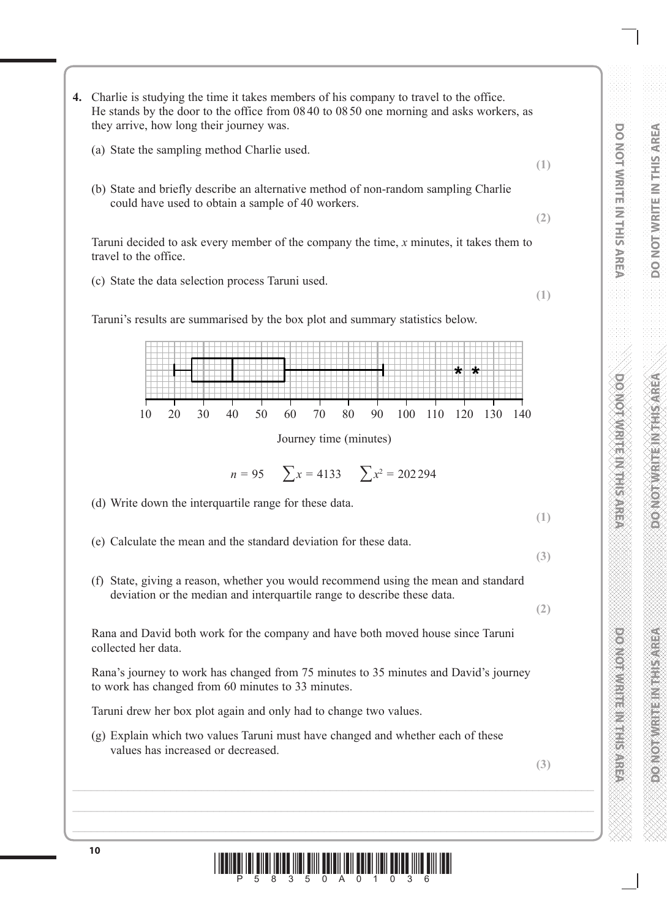**DOMONDER HERE SERVES DO NOT WRITE IN THIS AREA**

- **4.** Charlie is studying the time it takes members of his company to travel to the office. He stands by the door to the office from 0840 to 0850 one morning and asks workers, as they arrive, how long their journey was.
	- (a) State the sampling method Charlie used.
	- (b) State and briefly describe an alternative method of non-random sampling Charlie could have used to obtain a sample of 40 workers.

Taruni decided to ask every member of the company the time, *x* minutes, it takes them to travel to the office.

(c) State the data selection process Taruni used.

Taruni's results are summarised by the box plot and summary statistics below.

₩ ₩ 10 20 30 40 50 60 70 80 90 100 110 120 130 140

Journey time (minutes)

$$
n = 95 \qquad \sum x = 4133 \qquad \sum x^2 = 202294
$$

(d) Write down the interquartile range for these data.

**(1)**

**(3)**

**(2)**

**(1)**

**(2)**

**(1)**

- (e) Calculate the mean and the standard deviation for these data.
- (f) State, giving a reason, whether you would recommend using the mean and standard deviation or the median and interquartile range to describe these data.

Rana and David both work for the company and have both moved house since Taruni collected her data.

Rana's journey to work has changed from 75 minutes to 35 minutes and David's journey to work has changed from 60 minutes to 33 minutes.

Taruni drew her box plot again and only had to change two values.

(g) Explain which two values Taruni must have changed and whether each of these values has increased or decreased.

**(3)**

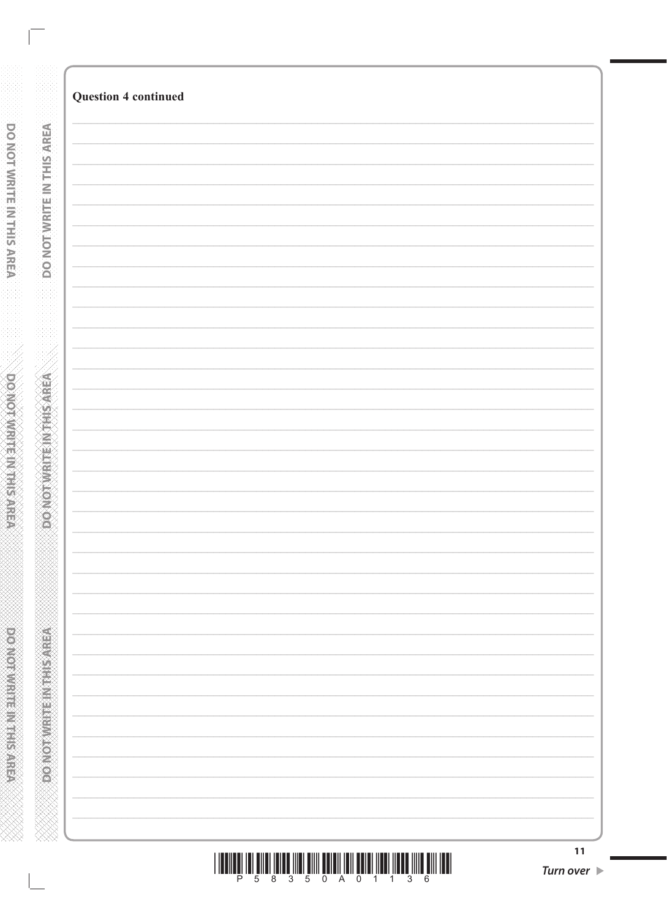| <b>Question 4 continued</b> |  |  |
|-----------------------------|--|--|
|                             |  |  |
|                             |  |  |
|                             |  |  |
|                             |  |  |
|                             |  |  |
|                             |  |  |
|                             |  |  |
|                             |  |  |
|                             |  |  |
|                             |  |  |
|                             |  |  |
|                             |  |  |
|                             |  |  |
|                             |  |  |
|                             |  |  |
|                             |  |  |
|                             |  |  |
|                             |  |  |
|                             |  |  |
|                             |  |  |
|                             |  |  |
|                             |  |  |
|                             |  |  |
|                             |  |  |
|                             |  |  |
|                             |  |  |
|                             |  |  |
|                             |  |  |
|                             |  |  |
|                             |  |  |
|                             |  |  |
|                             |  |  |
|                             |  |  |
|                             |  |  |
|                             |  |  |
|                             |  |  |
|                             |  |  |
|                             |  |  |
|                             |  |  |
|                             |  |  |
|                             |  |  |
|                             |  |  |
|                             |  |  |
|                             |  |  |
|                             |  |  |
|                             |  |  |
|                             |  |  |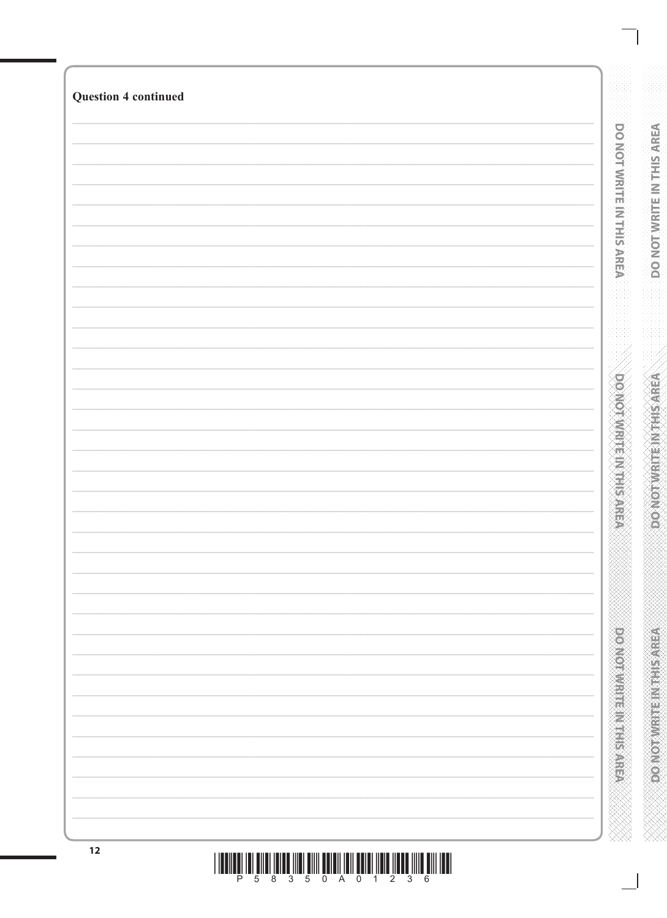| <b>Question 4 continued</b> |                                  |
|-----------------------------|----------------------------------|
|                             |                                  |
|                             | <b>DO NOT WRITE IN THIS AREA</b> |
|                             |                                  |
|                             |                                  |
|                             |                                  |
|                             |                                  |
|                             |                                  |
|                             |                                  |
|                             |                                  |
|                             |                                  |
|                             |                                  |
|                             |                                  |
|                             | <b>DOMOTWRITEIN FIRSTER</b>      |
|                             |                                  |
|                             |                                  |
|                             |                                  |
|                             | 25                               |
|                             |                                  |
|                             |                                  |
|                             |                                  |
|                             |                                  |
|                             |                                  |
|                             |                                  |
|                             |                                  |
|                             |                                  |
|                             | <b>Provident and American</b>    |
|                             |                                  |
|                             |                                  |
|                             |                                  |
| 12                          |                                  |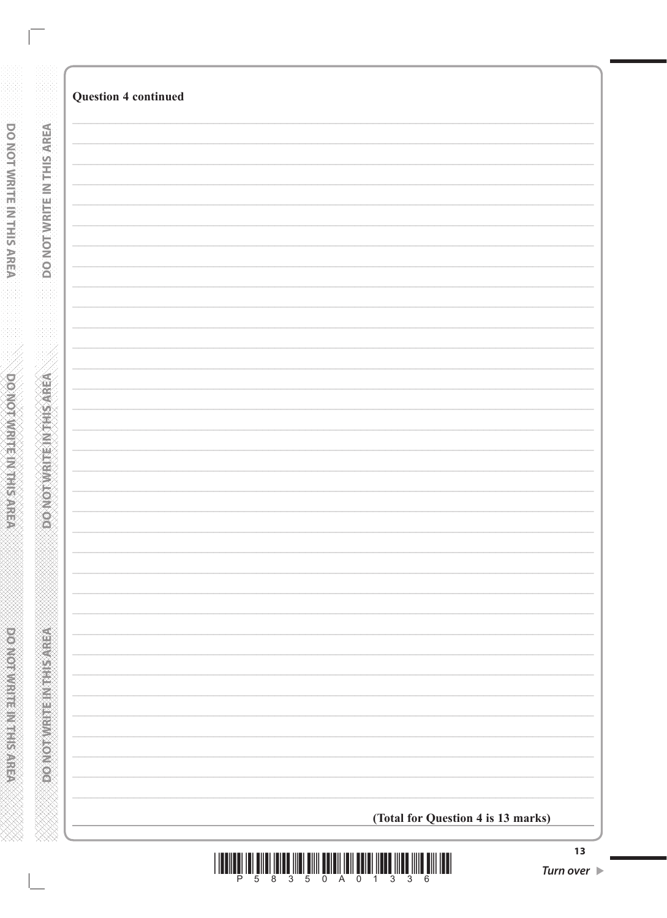| <b>Question 4 continued</b>        |
|------------------------------------|
|                                    |
|                                    |
|                                    |
|                                    |
|                                    |
|                                    |
|                                    |
|                                    |
|                                    |
|                                    |
|                                    |
|                                    |
|                                    |
|                                    |
|                                    |
|                                    |
|                                    |
|                                    |
|                                    |
|                                    |
|                                    |
|                                    |
|                                    |
|                                    |
|                                    |
|                                    |
|                                    |
|                                    |
|                                    |
|                                    |
|                                    |
|                                    |
|                                    |
|                                    |
|                                    |
|                                    |
|                                    |
|                                    |
|                                    |
|                                    |
|                                    |
| (Total for Question 4 is 13 marks) |

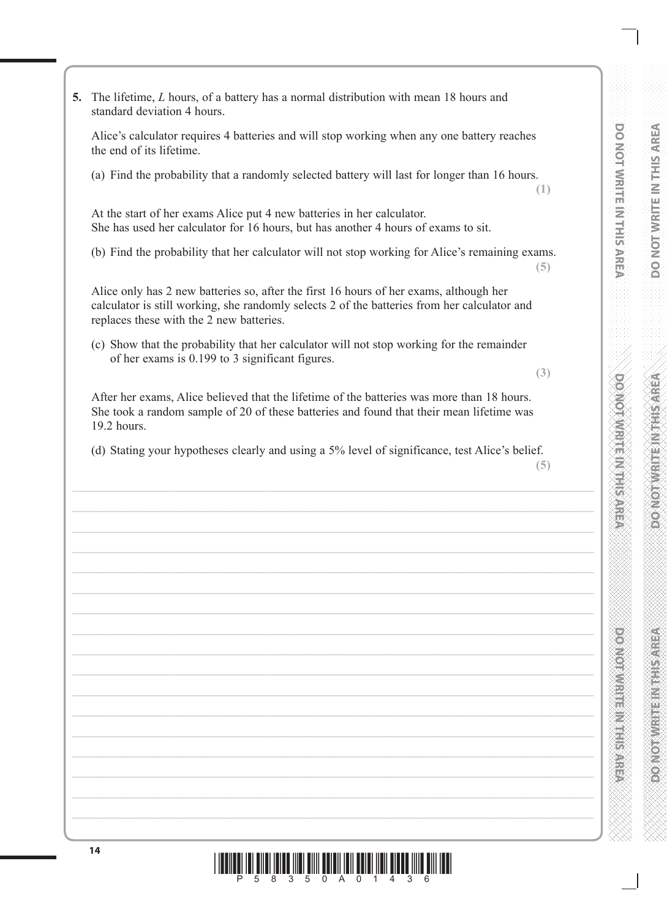**DO NOT WRITE IN THIS AREA**

**Control of the Control of Science** 

**5.** The lifetime, *L* hours, of a battery has a normal distribution with mean 18 hours and standard deviation 4 hours.

Alice's calculator requires 4 batteries and will stop working when any one battery reaches the end of its lifetime.

(a) Find the probability that a randomly selected battery will last for longer than 16 hours.

**(1)**

At the start of her exams Alice put 4 new batteries in her calculator. She has used her calculator for 16 hours, but has another 4 hours of exams to sit.

(b) Find the probability that her calculator will not stop working for Alice's remaining exams.

**(5)**

Alice only has 2 new batteries so, after the first 16 hours of her exams, although her calculator is still working, she randomly selects 2 of the batteries from her calculator and replaces these with the 2 new batteries.

(c) Show that the probability that her calculator will not stop working for the remainder of her exams is 0.199 to 3 significant figures.

**(3)**

After her exams, Alice believed that the lifetime of the batteries was more than 18 hours. She took a random sample of 20 of these batteries and found that their mean lifetime was 19.2 hours.

(d) Stating your hypotheses clearly and using a 5% level of significance, test Alice's belief.

**<sup>14</sup>** \*P58350A01436\*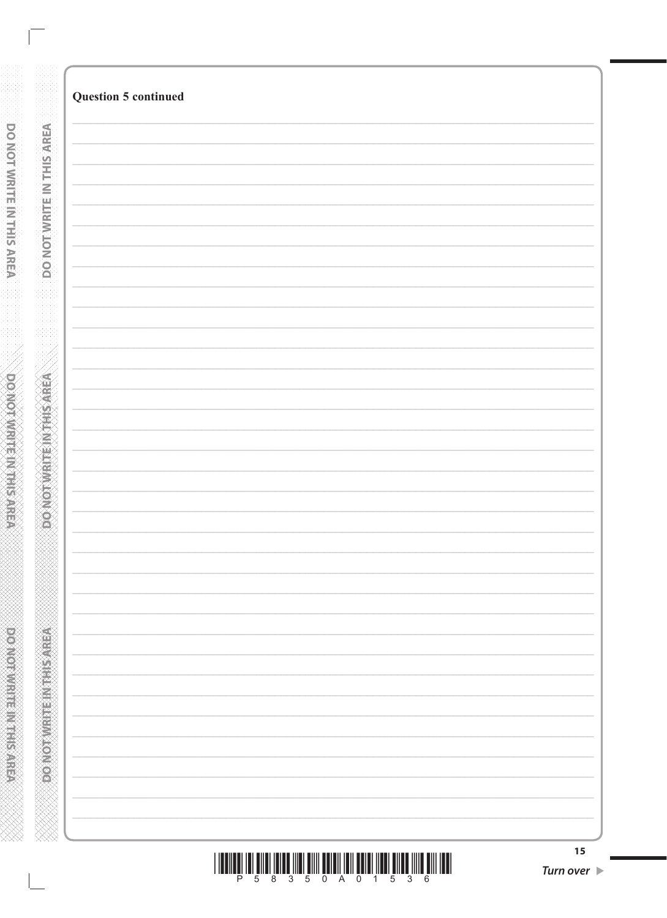|  | <b>Question 5 continued</b> |
|--|-----------------------------|
|  |                             |
|  |                             |
|  |                             |
|  |                             |
|  |                             |
|  |                             |
|  |                             |
|  |                             |
|  |                             |
|  |                             |
|  |                             |
|  |                             |
|  |                             |
|  |                             |
|  |                             |
|  |                             |
|  |                             |
|  |                             |
|  |                             |
|  |                             |
|  |                             |
|  |                             |
|  |                             |
|  |                             |
|  |                             |
|  |                             |
|  |                             |
|  |                             |
|  |                             |
|  |                             |
|  |                             |
|  |                             |
|  |                             |
|  |                             |
|  |                             |
|  |                             |
|  |                             |
|  |                             |
|  |                             |
|  |                             |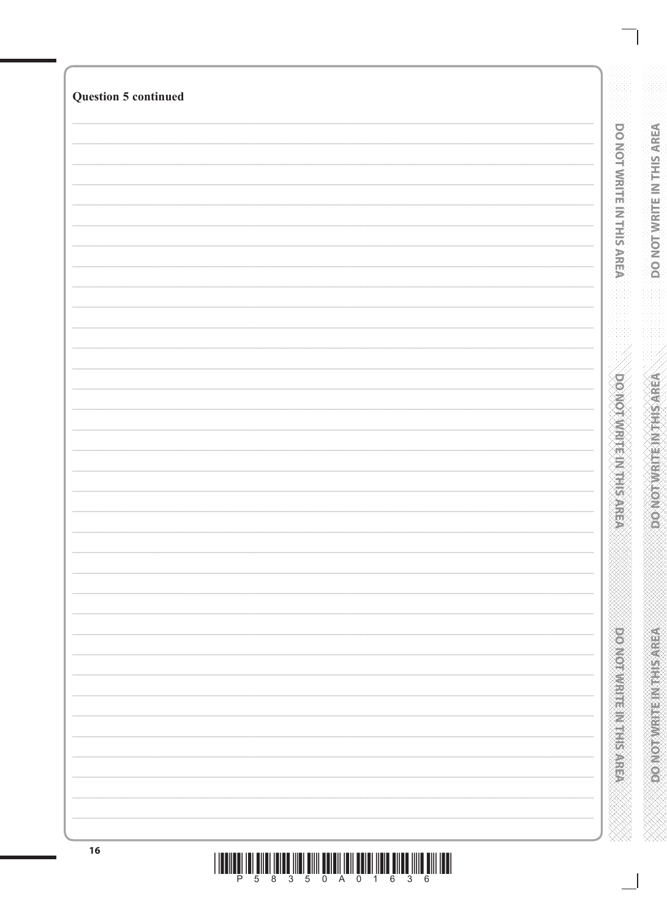| <b>Question 5 continued</b> |                               |
|-----------------------------|-------------------------------|
|                             |                               |
|                             | DO NOT WRITE IN THIS AREA     |
|                             |                               |
|                             |                               |
|                             |                               |
|                             |                               |
|                             |                               |
|                             |                               |
|                             |                               |
|                             |                               |
|                             |                               |
|                             | <b>DOMOITIVE HIS NEWSPAPE</b> |
|                             |                               |
|                             |                               |
|                             |                               |
|                             |                               |
|                             |                               |
|                             |                               |
|                             |                               |
|                             |                               |
|                             |                               |
|                             |                               |
|                             |                               |
|                             |                               |
|                             |                               |
|                             |                               |
|                             |                               |
|                             |                               |
|                             |                               |
| 16                          |                               |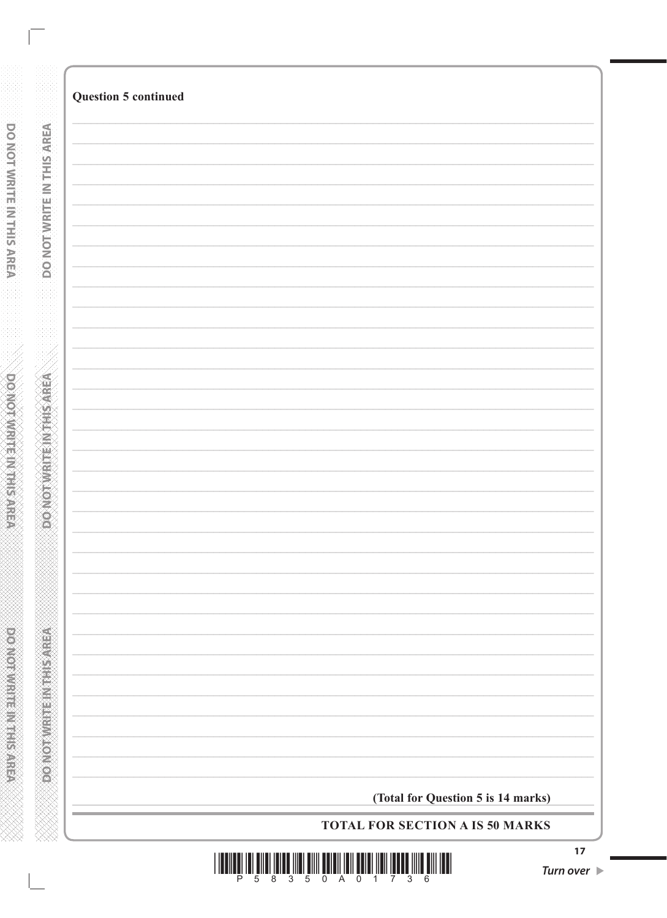|                           | <b>Question 5 continued</b>            |
|---------------------------|----------------------------------------|
|                           |                                        |
|                           |                                        |
|                           |                                        |
|                           |                                        |
| DO NOT WRITE IN THIS AREA |                                        |
|                           |                                        |
|                           |                                        |
|                           |                                        |
|                           |                                        |
|                           |                                        |
|                           |                                        |
| <b>ASKOTAMENTERNATE</b>   |                                        |
|                           |                                        |
|                           |                                        |
|                           |                                        |
|                           |                                        |
|                           |                                        |
|                           |                                        |
|                           |                                        |
|                           |                                        |
|                           |                                        |
|                           |                                        |
| <b>PONOTWEEPING</b>       |                                        |
|                           |                                        |
|                           | (Total for Question 5 is 14 marks)     |
|                           | <b>TOTAL FOR SECTION A IS 50 MARKS</b> |

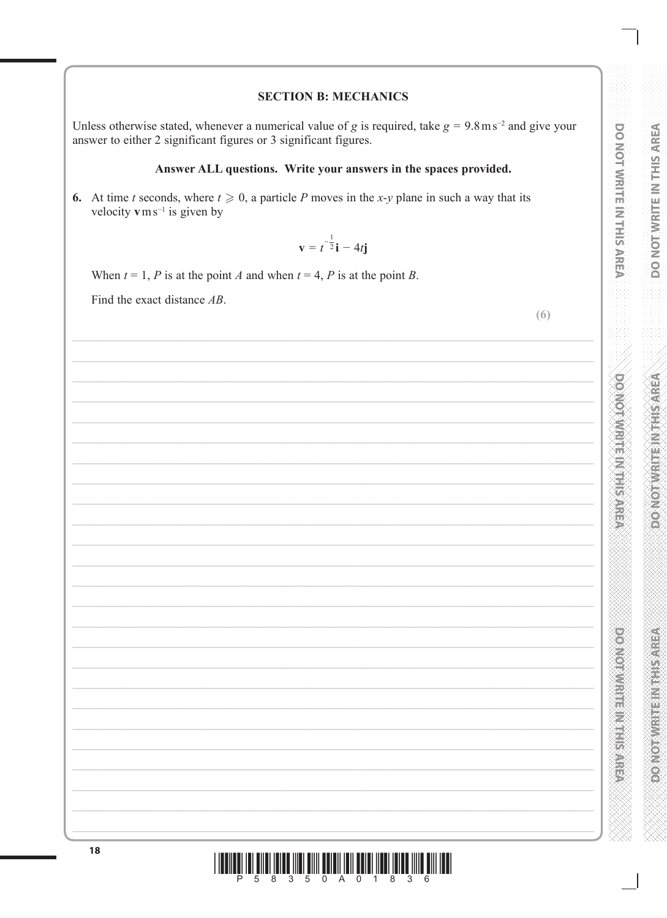# DO NOT WRITE IN THIS AREA **DOMOTWRITEINTHIS AREA**

**DOOMOODWELF IN THIS AREA** 

## **SECTION B: MECHANICS**

Unless otherwise stated, whenever a numerical value of g is required, take  $g = 9.8 \text{ m s}^{-2}$  and give your answer to either 2 significant figures or 3 significant figures.

## Answer ALL questions. Write your answers in the spaces provided.

6. At time t seconds, where  $t \ge 0$ , a particle P moves in the x-y plane in such a way that its velocity  $v \, \text{m s}^{-1}$  is given by

$$
\mathbf{v} = t^{-\frac{1}{2}}\mathbf{i} - 4t\mathbf{j}
$$

When  $t = 1$ , P is at the point A and when  $t = 4$ , P is at the point B.

Find the exact distance AB.

 $(6)$ 

| 18 |  |
|----|--|
|    |  |
|    |  |
|    |  |
|    |  |
|    |  |
|    |  |
|    |  |
|    |  |
|    |  |
|    |  |
|    |  |
|    |  |
|    |  |
|    |  |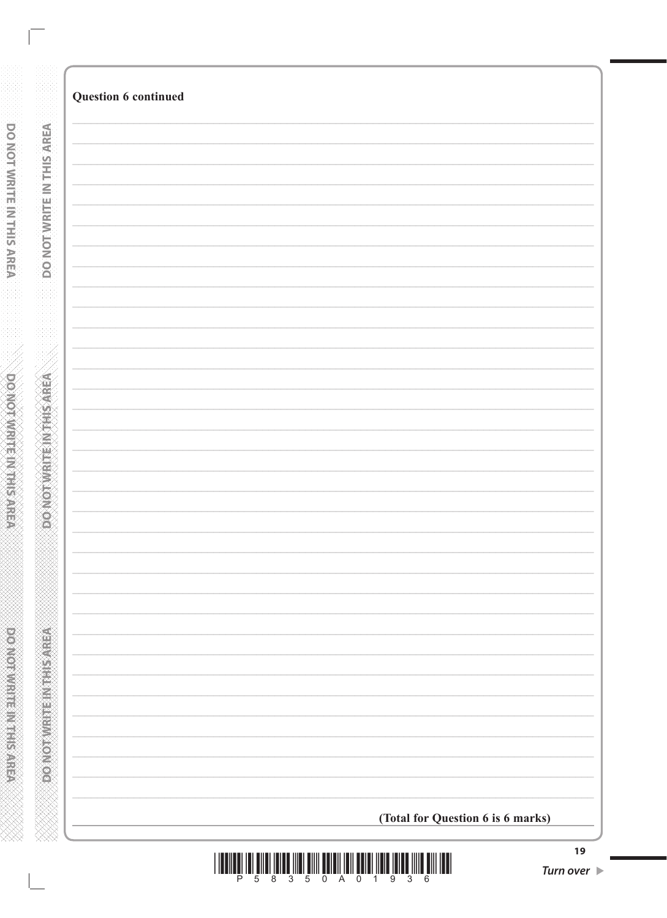| <b>Question 6 continued</b>       |
|-----------------------------------|
|                                   |
|                                   |
|                                   |
|                                   |
|                                   |
|                                   |
|                                   |
|                                   |
|                                   |
|                                   |
|                                   |
|                                   |
|                                   |
|                                   |
|                                   |
|                                   |
|                                   |
|                                   |
|                                   |
|                                   |
|                                   |
|                                   |
|                                   |
| (Total for Question 6 is 6 marks) |
|                                   |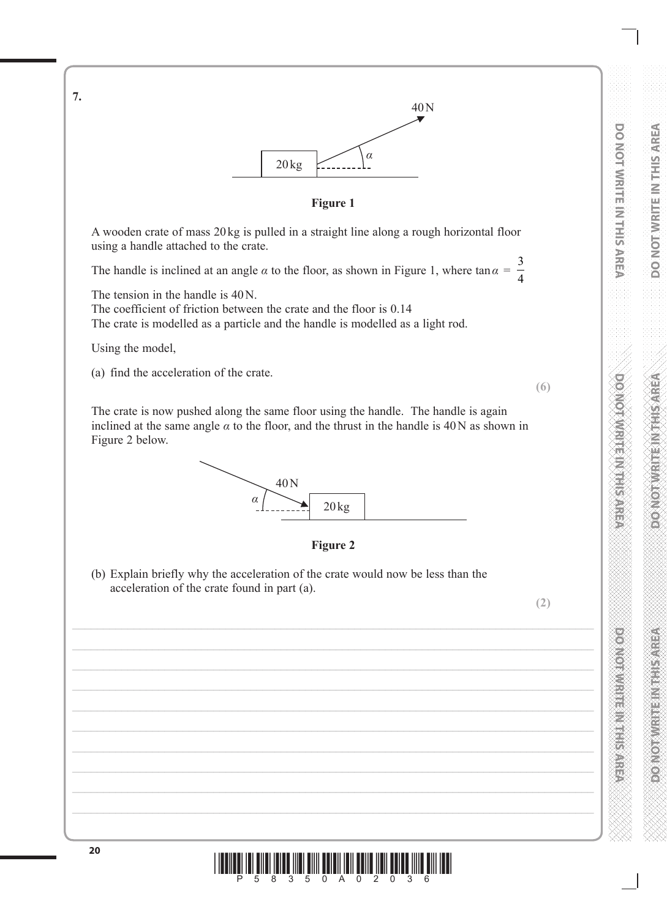**DO NOT WRITE IN THIS AREA**

**POSTER IN THE REPORT OF STREET** 



Using the model,

**7.**

(a) find the acceleration of the crate.

**(6)**

The crate is now pushed along the same floor using the handle. The handle is again inclined at the same angle  $\alpha$  to the floor, and the thrust in the handle is 40N as shown in Figure 2 below.





(b) Explain briefly why the acceleration of the crate would now be less than the acceleration of the crate found in part (a).

**(2)**

**20**  $\begin{bmatrix} 1 & 0 & 0 \\ 0 & 0 & 0 \\ 0 & 0 & 0 \end{bmatrix}$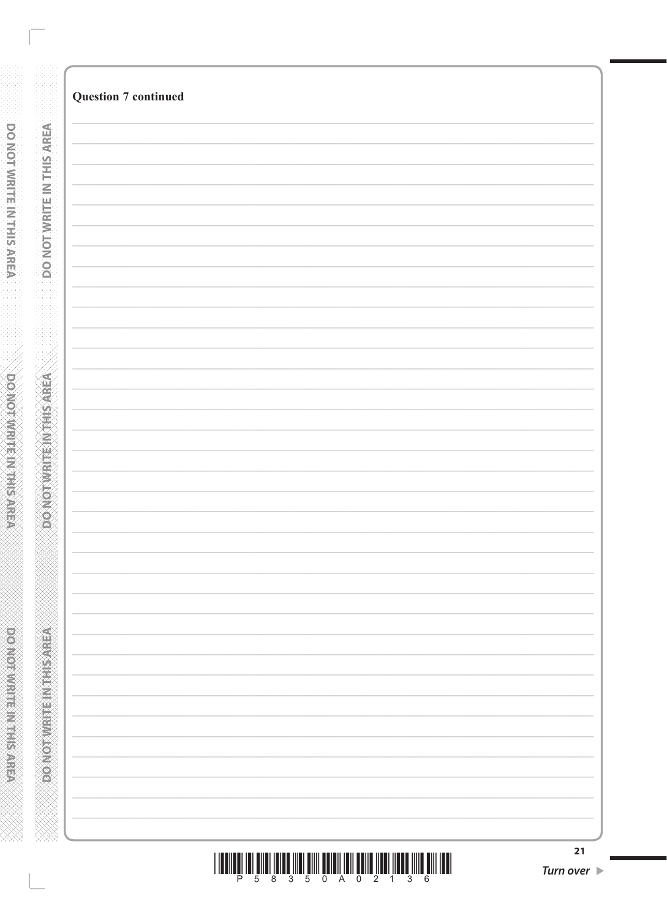| <b>Question 7 continued</b> |
|-----------------------------|
|                             |
|                             |
|                             |
|                             |
|                             |
|                             |
|                             |
|                             |
|                             |
|                             |
|                             |
|                             |
|                             |
|                             |
|                             |
|                             |
|                             |
|                             |
|                             |
|                             |
|                             |
|                             |
|                             |
|                             |
|                             |
|                             |
|                             |
|                             |
|                             |
|                             |
|                             |
|                             |
|                             |
|                             |
|                             |
|                             |
|                             |
|                             |
|                             |
|                             |
|                             |
|                             |
|                             |
|                             |
|                             |
|                             |
|                             |
|                             |
|                             |
|                             |

| <u> I II dheer is an ama san ama ann an amachaidh ann an an an amachaidh ann an </u> |  |  |  |  |  |  |
|--------------------------------------------------------------------------------------|--|--|--|--|--|--|
|                                                                                      |  |  |  |  |  |  |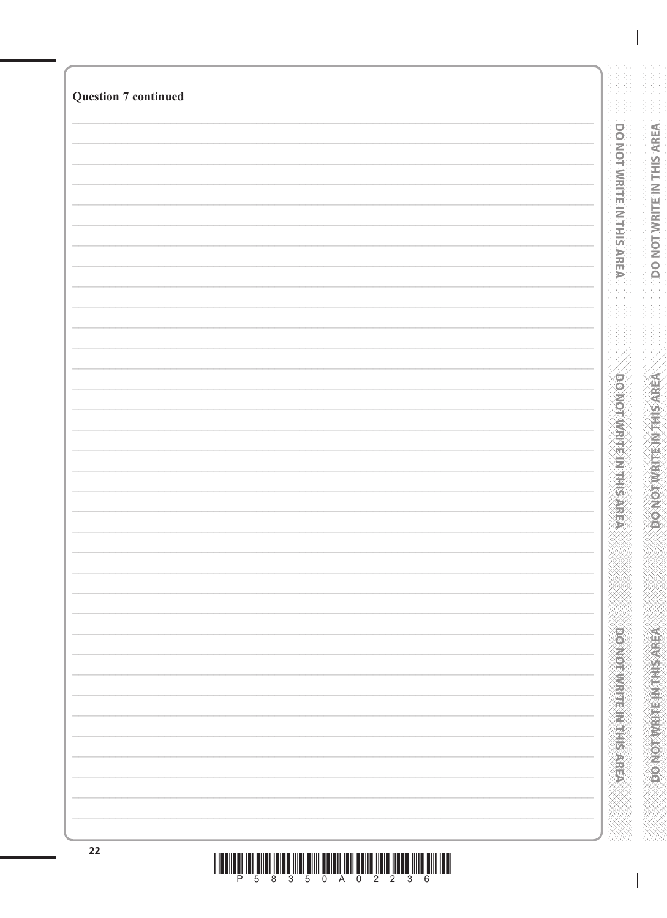| <b>Question 7 continued</b> |                                 |
|-----------------------------|---------------------------------|
|                             |                                 |
|                             |                                 |
|                             | DO NOT WRITE IN THIS AREA       |
|                             |                                 |
|                             |                                 |
|                             |                                 |
|                             |                                 |
|                             |                                 |
|                             |                                 |
|                             |                                 |
|                             |                                 |
|                             |                                 |
|                             |                                 |
|                             |                                 |
|                             |                                 |
|                             |                                 |
|                             |                                 |
|                             |                                 |
|                             |                                 |
|                             |                                 |
|                             |                                 |
|                             |                                 |
|                             | <b>DO NOT WRITE IN THIS ARE</b> |
|                             |                                 |
|                             |                                 |
|                             |                                 |
|                             |                                 |
|                             |                                 |
|                             |                                 |
|                             |                                 |
|                             |                                 |
|                             |                                 |
|                             |                                 |
|                             |                                 |
|                             |                                 |
|                             |                                 |
|                             |                                 |
|                             |                                 |
|                             |                                 |
|                             |                                 |
|                             |                                 |
|                             |                                 |
|                             |                                 |
|                             | <b>DONOTHER HER NEWSPAPE</b>    |
|                             |                                 |
|                             |                                 |
|                             |                                 |
|                             |                                 |
|                             |                                 |
|                             |                                 |
|                             |                                 |
|                             |                                 |
|                             |                                 |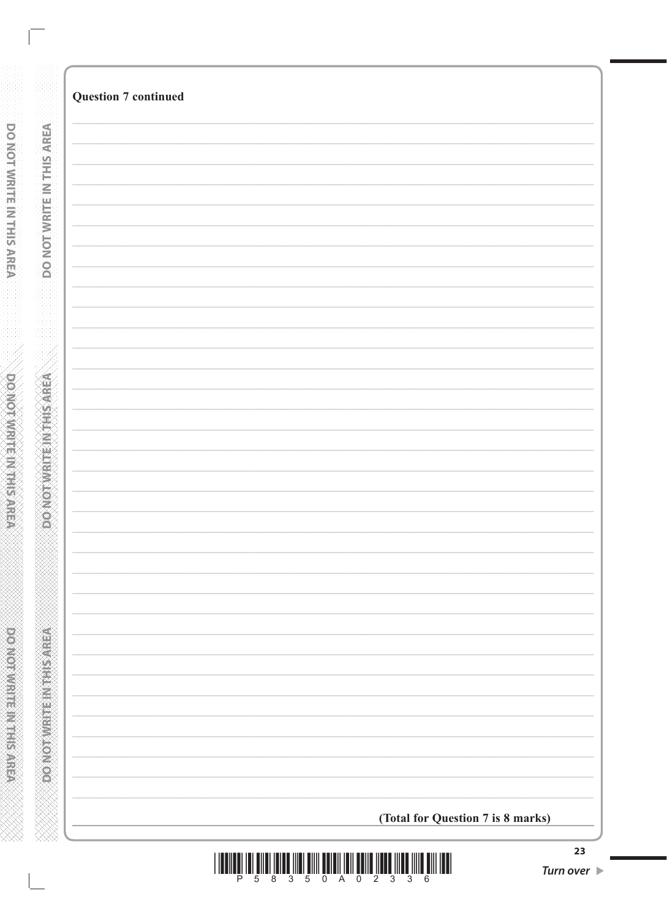|                           | <b>Question 7 continued</b>       |
|---------------------------|-----------------------------------|
| DO NOT WRITE IN THIS AREA |                                   |
|                           |                                   |
|                           |                                   |
|                           |                                   |
|                           |                                   |
|                           |                                   |
|                           |                                   |
|                           |                                   |
|                           |                                   |
|                           |                                   |
|                           |                                   |
|                           |                                   |
|                           |                                   |
|                           |                                   |
|                           |                                   |
|                           |                                   |
|                           |                                   |
|                           |                                   |
|                           |                                   |
|                           |                                   |
|                           |                                   |
|                           |                                   |
|                           |                                   |
|                           |                                   |
|                           |                                   |
|                           |                                   |
|                           |                                   |
|                           |                                   |
|                           |                                   |
|                           | (Total for Question 7 is 8 marks) |
|                           |                                   |

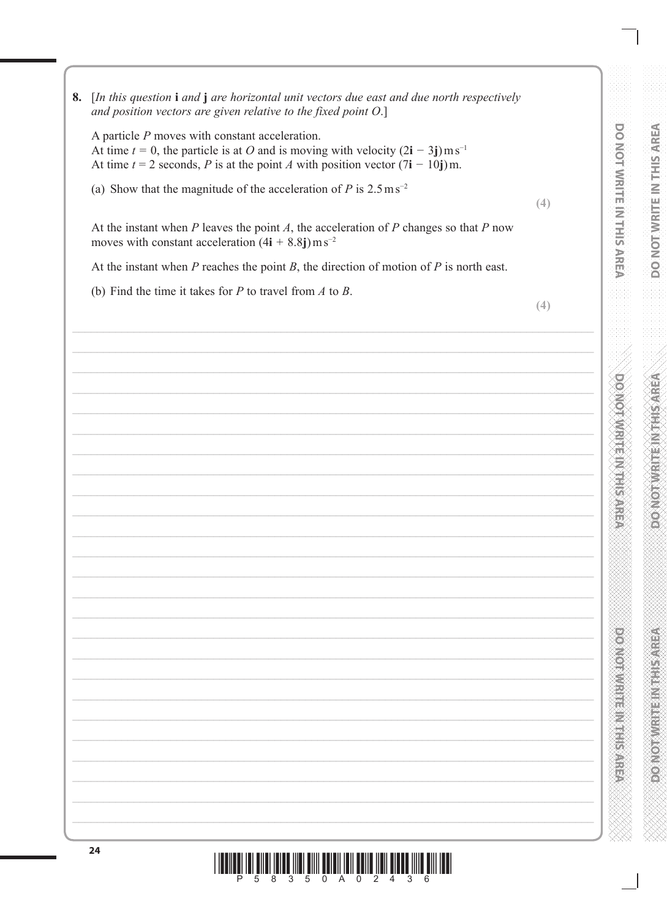DO NOT WRITE IN THIS AREA **DOVIDIANTE NAMES** 

**POSTER IN THE REPORT OF STREET** 



8. [In this question i and j are horizontal unit vectors due east and due north respectively and position vectors are given relative to the fixed point  $O.$ ]

A particle  $P$  moves with constant acceleration. At time  $t = 0$ , the particle is at O and is moving with velocity  $(2i - 3j)$  m s<sup>-1</sup> At time  $t = 2$  seconds, P is at the point A with position vector  $(7i - 10j)$  m.

(a) Show that the magnitude of the acceleration of P is  $2.5 \text{ m s}^{-2}$ 

jill <mark>illi <sup>a</sup>nd <sup>a</sup>nd in ônd yn ônd am <sup>5</sup>nd twe <sup>an e</sup>.</mark>

. 5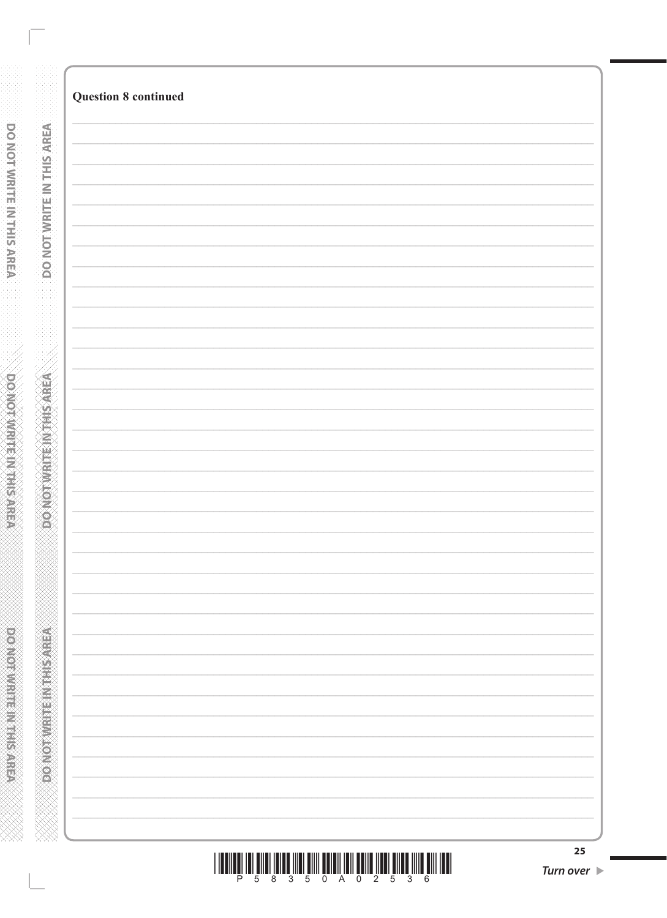|                            | <b>Question 8 continued</b> |
|----------------------------|-----------------------------|
|                            |                             |
|                            |                             |
|                            |                             |
|                            |                             |
|                            |                             |
| DO NOT WRITE IN THIS AREA  |                             |
|                            |                             |
|                            |                             |
|                            |                             |
|                            |                             |
|                            |                             |
|                            |                             |
|                            |                             |
|                            |                             |
|                            |                             |
|                            |                             |
|                            |                             |
| DONOTWRITEIN/THS/AREA      |                             |
|                            |                             |
|                            |                             |
|                            |                             |
|                            |                             |
|                            |                             |
|                            |                             |
|                            |                             |
|                            |                             |
|                            |                             |
|                            |                             |
|                            |                             |
|                            |                             |
|                            |                             |
|                            |                             |
|                            |                             |
|                            |                             |
|                            |                             |
|                            |                             |
|                            |                             |
| <b>PONCERT ENGINEERING</b> |                             |
|                            |                             |
|                            |                             |
|                            |                             |
|                            |                             |
|                            |                             |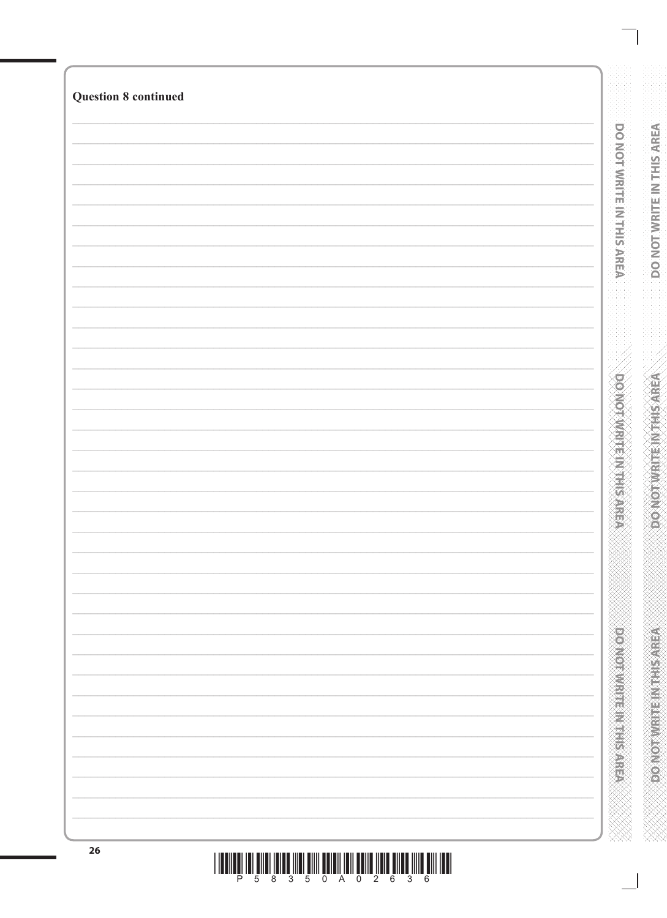| <b>Question 8 continued</b> |  |
|-----------------------------|--|
|                             |  |
|                             |  |
|                             |  |
|                             |  |
|                             |  |
|                             |  |
|                             |  |
|                             |  |
|                             |  |
|                             |  |
|                             |  |
|                             |  |
|                             |  |
|                             |  |
|                             |  |
|                             |  |
|                             |  |
|                             |  |
|                             |  |
|                             |  |
|                             |  |
|                             |  |
|                             |  |
|                             |  |
|                             |  |
|                             |  |
|                             |  |
|                             |  |
|                             |  |
|                             |  |
|                             |  |
|                             |  |
|                             |  |
|                             |  |
|                             |  |
|                             |  |
|                             |  |
|                             |  |
|                             |  |
|                             |  |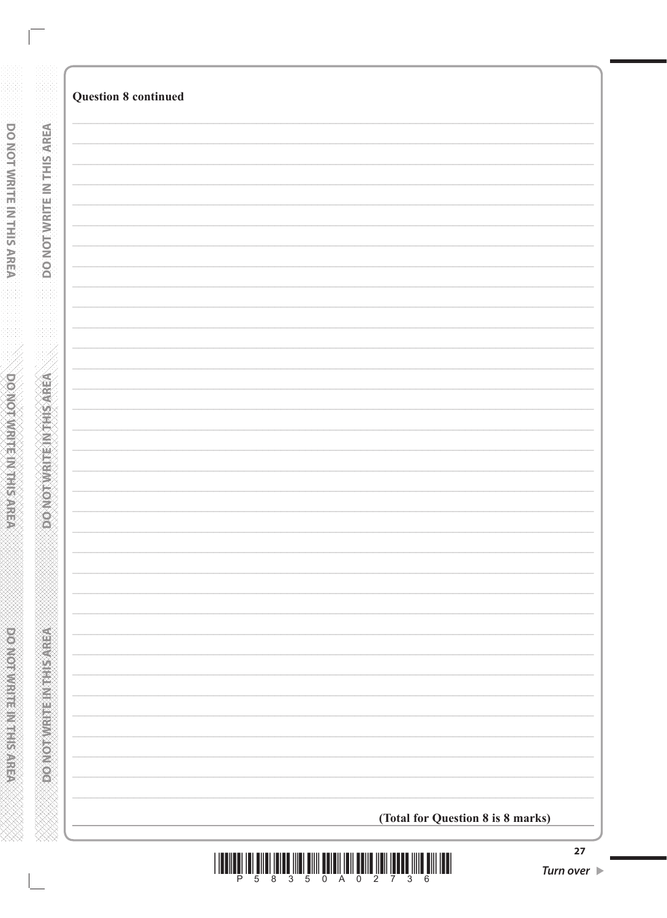| <b>Question 8 continued</b>       |
|-----------------------------------|
|                                   |
|                                   |
|                                   |
|                                   |
|                                   |
|                                   |
|                                   |
|                                   |
|                                   |
|                                   |
|                                   |
|                                   |
|                                   |
|                                   |
|                                   |
|                                   |
|                                   |
|                                   |
|                                   |
|                                   |
|                                   |
|                                   |
|                                   |
|                                   |
|                                   |
|                                   |
|                                   |
|                                   |
|                                   |
|                                   |
|                                   |
|                                   |
|                                   |
| (Total for Question 8 is 8 marks) |

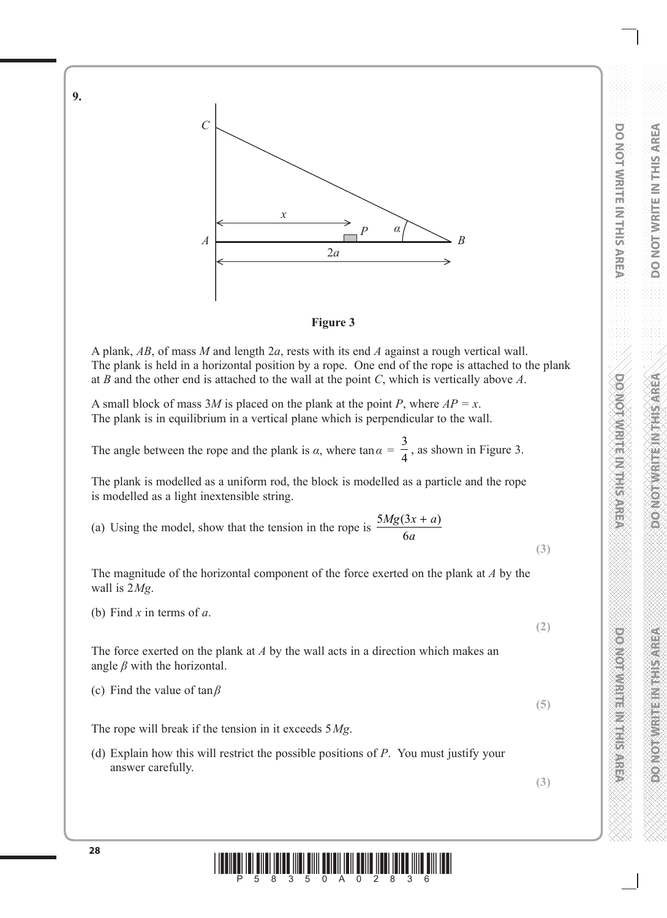

### **Figure 3**

A plank, *AB*, of mass *M* and length 2*a*, rests with its end *A* against a rough vertical wall. The plank is held in a horizontal position by a rope. One end of the rope is attached to the plank at *B* and the other end is attached to the wall at the point *C*, which is vertically above *A*.

A small block of mass 3*M* is placed on the plank at the point *P*, where  $AP = x$ . The plank is in equilibrium in a vertical plane which is perpendicular to the wall.

The angle between the rope and the plank is  $\alpha$ , where tan  $\alpha = \alpha$ 3  $\frac{2}{4}$ , as shown in Figure 3.

The plank is modelled as a uniform rod, the block is modelled as a particle and the rope is modelled as a light inextensible string.

(a) Using the model, show that the tension in the rope is  $5Mg(3)$ 6  $Mg(3x + a)$ *a*  $(3x + a)$ 

The magnitude of the horizontal component of the force exerted on the plank at *A* by the wall is 2*Mg*.

(b) Find *x* in terms of *a*.

The force exerted on the plank at *A* by the wall acts in a direction which makes an angle  $\beta$  with the horizontal.

(c) Find the value of tan*β*

The rope will break if the tension in it exceeds 5*Mg*.

- (d) Explain how this will restrict the possible positions of *P*. You must justify your answer carefully.
- **(3)**

**(5)**



**9.**

**(2)**

**(3)**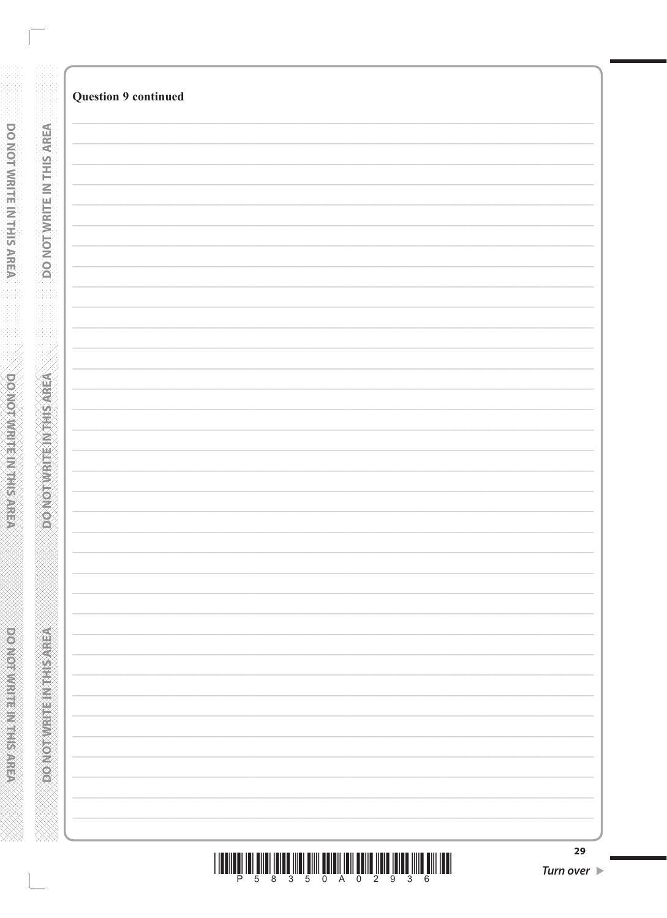| <b>Question 9 continued</b> |
|-----------------------------|
|                             |
|                             |
|                             |
|                             |
|                             |
|                             |
|                             |
|                             |
|                             |
|                             |
|                             |
|                             |
|                             |
|                             |
|                             |
|                             |
|                             |
|                             |
|                             |
|                             |
|                             |
|                             |
|                             |
|                             |
|                             |
|                             |
|                             |
|                             |
|                             |
|                             |
|                             |
|                             |
|                             |
|                             |
|                             |
|                             |
|                             |
|                             |
|                             |
|                             |
|                             |
|                             |

 $\begin{array}{c} \text{if} \ \text{if} \ \text{if} \ \text{if} \ \text{if} \ \text{if} \ \text{if} \ \text{if} \ \text{if} \ \text{if} \ \text{if} \ \text{if} \ \text{if} \ \text{if} \ \text{if} \ \text{if} \ \text{if} \ \text{if} \ \text{if} \ \text{if} \ \text{if} \ \text{if} \ \text{if} \ \text{if} \ \text{if} \ \text{if} \ \text{if} \ \text{if} \ \text{if} \ \text{if} \ \text{if} \ \text{if} \ \text{if} \ \text{if} \ \text{if} \ \text{$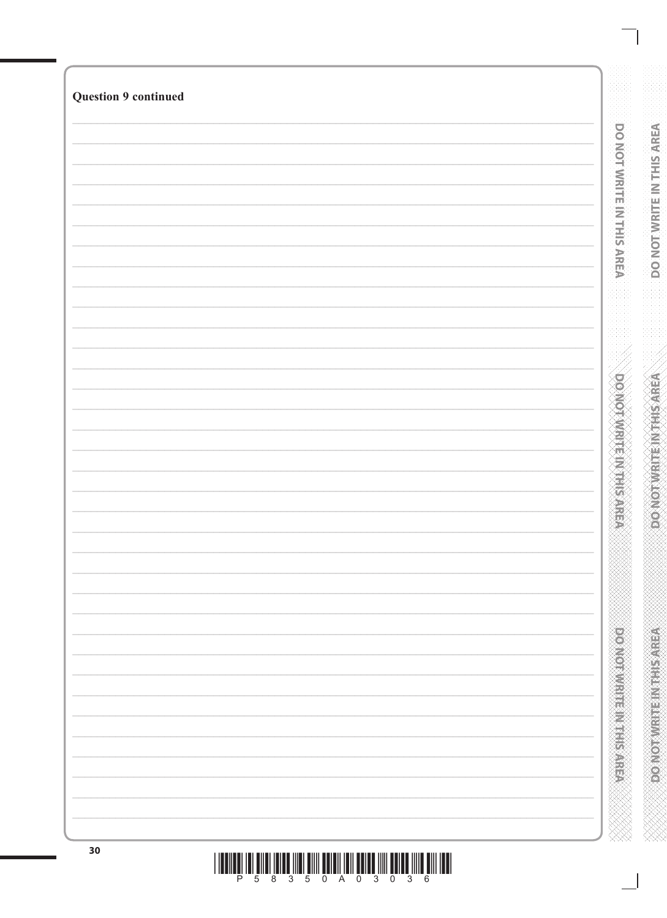| <b>Question 9 continued</b> |                                  |
|-----------------------------|----------------------------------|
|                             |                                  |
|                             |                                  |
|                             | <b>DO NOT WRITE IN THIS AREA</b> |
|                             |                                  |
|                             |                                  |
|                             |                                  |
|                             |                                  |
|                             |                                  |
|                             |                                  |
|                             |                                  |
|                             |                                  |
|                             |                                  |
|                             |                                  |
|                             |                                  |
|                             |                                  |
|                             |                                  |
|                             |                                  |
|                             |                                  |
|                             |                                  |
|                             |                                  |
|                             |                                  |
|                             |                                  |
|                             |                                  |
|                             | <b>DOMONARY MENTION</b>          |
|                             |                                  |
|                             |                                  |
|                             |                                  |
|                             |                                  |
|                             |                                  |
|                             |                                  |
|                             |                                  |
|                             |                                  |
|                             |                                  |
|                             |                                  |
|                             |                                  |
|                             |                                  |
|                             |                                  |
|                             |                                  |
|                             |                                  |
|                             |                                  |
|                             |                                  |
|                             | <b>PERMIT AND RESIDENCE</b>      |
|                             |                                  |
|                             |                                  |
|                             |                                  |
|                             |                                  |
|                             |                                  |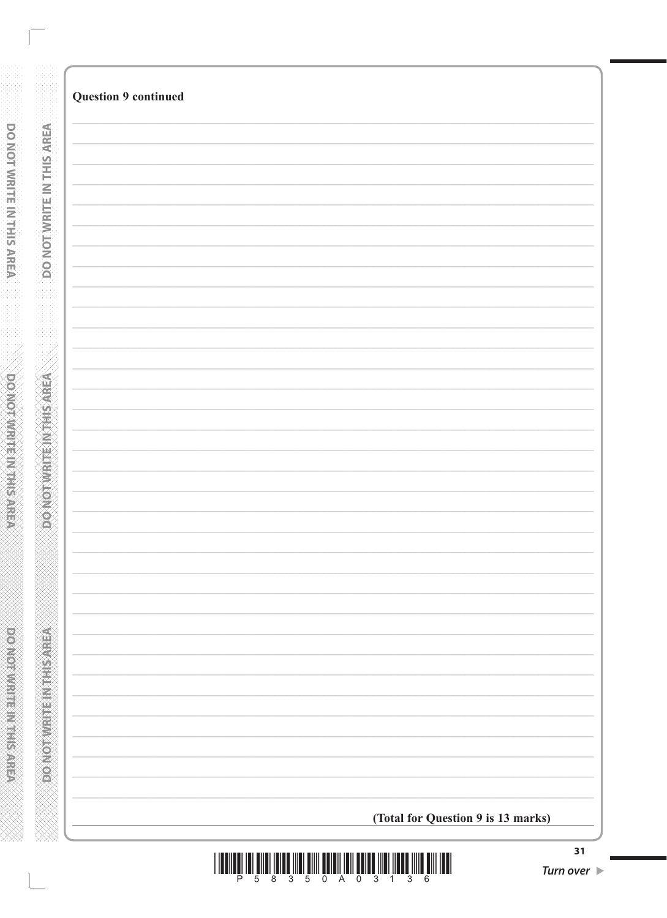| <b>Question 9 continued</b>        |
|------------------------------------|
|                                    |
|                                    |
|                                    |
|                                    |
|                                    |
|                                    |
|                                    |
|                                    |
|                                    |
|                                    |
|                                    |
|                                    |
|                                    |
|                                    |
|                                    |
|                                    |
|                                    |
|                                    |
|                                    |
|                                    |
|                                    |
|                                    |
|                                    |
|                                    |
|                                    |
|                                    |
|                                    |
|                                    |
|                                    |
|                                    |
|                                    |
|                                    |
|                                    |
|                                    |
| (Total for Question 9 is 13 marks) |
|                                    |

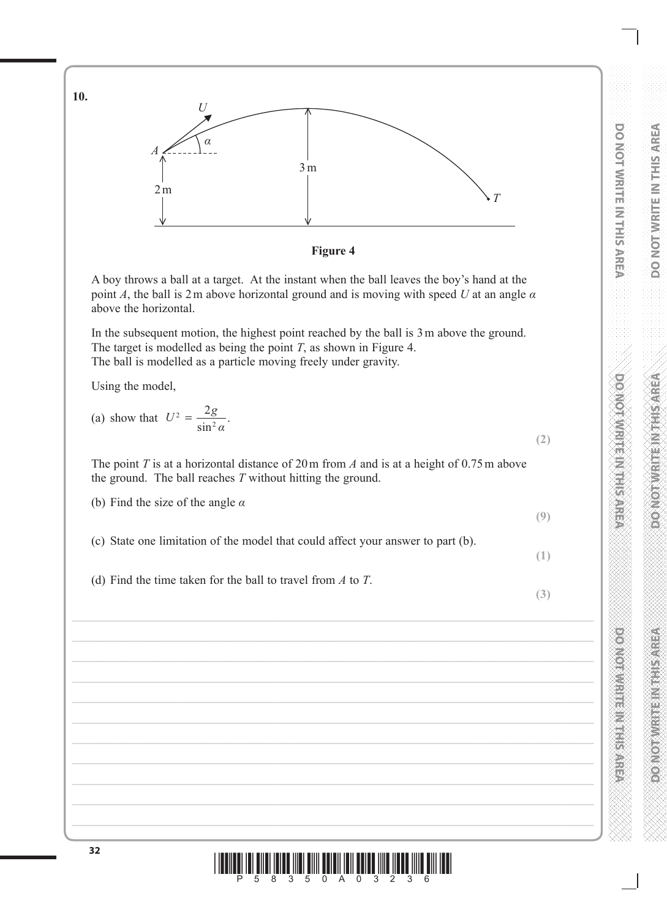**DO NOT WRITE IN THIS AREA DO NOT WRITE IN THE INTERNATION DOMOT/WRITE IN THIS AREA DO NOT WRITE IN THE INTERNATIONAL CONTRACTOR** 

**(2)**

**(9)**

**(1)**

**(3)**

**DO NOT WRITE IN THIS AREA**



The target is modelled as being the point *T*, as shown in Figure 4. The ball is modelled as a particle moving freely under gravity.

In the subsequent motion, the highest point reached by the ball is 3m above the ground.

A boy throws a ball at a target. At the instant when the ball leaves the boy's hand at the point *A*, the ball is 2m above horizontal ground and is moving with speed *U* at an angle *α*

Using the model,

above the horizontal.

**10.**

(a) show that 
$$
U^2 = \frac{2g}{\sin^2 \alpha}
$$
.

The point *T* is at a horizontal distance of 20m from *A* and is at a height of 0.75m above the ground. The ball reaches *T* without hitting the ground.

(b) Find the size of the angle *α*

(c) State one limitation of the model that could affect your answer to part (b).

(d) Find the time taken for the ball to travel from *A* to *T*.



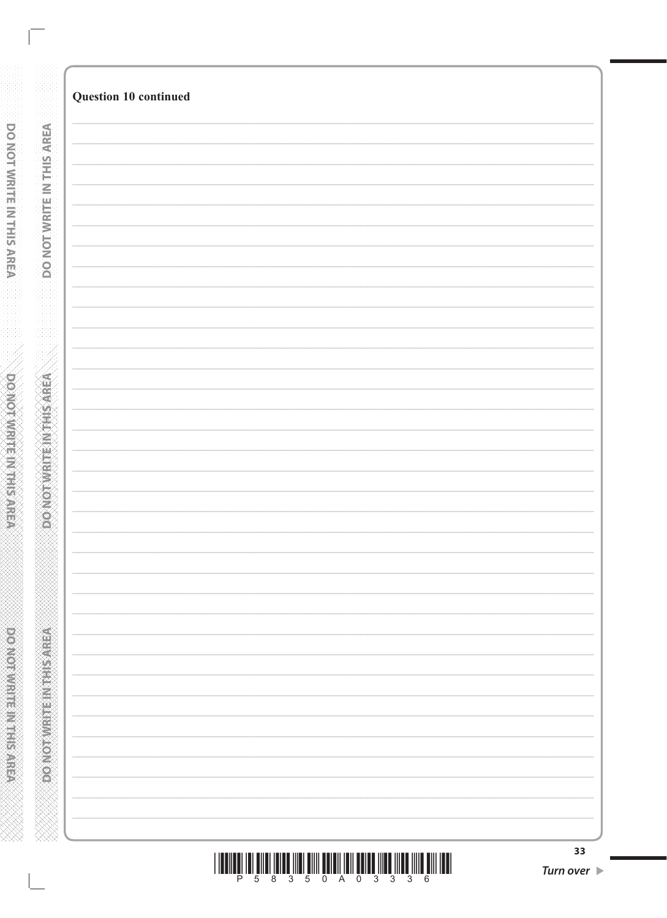| Question 10 continued |
|-----------------------|
|                       |
|                       |
|                       |
|                       |
|                       |
|                       |
|                       |
|                       |
|                       |
|                       |
|                       |
|                       |
|                       |
|                       |
|                       |
|                       |
|                       |
|                       |
|                       |
|                       |
|                       |
|                       |
|                       |
|                       |
|                       |
|                       |
|                       |
|                       |
|                       |
|                       |
|                       |
|                       |
|                       |
|                       |
|                       |
|                       |
|                       |
|                       |
|                       |
|                       |
|                       |
|                       |
|                       |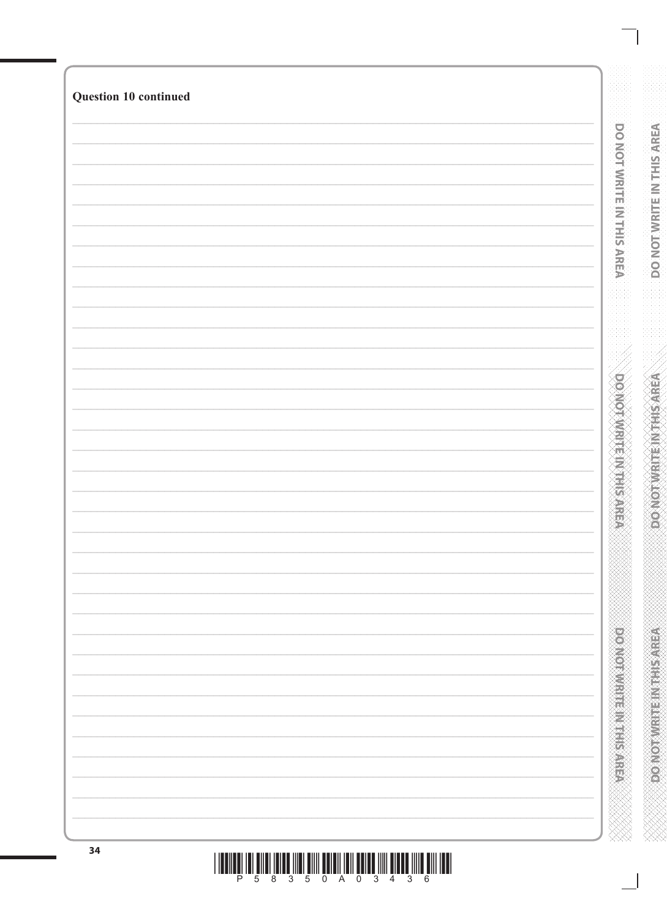| Question 10 continued |  |
|-----------------------|--|
|                       |  |
|                       |  |
|                       |  |
|                       |  |
|                       |  |
|                       |  |
|                       |  |
|                       |  |
|                       |  |
|                       |  |
|                       |  |
|                       |  |
|                       |  |
|                       |  |
|                       |  |
|                       |  |
|                       |  |
|                       |  |
|                       |  |
|                       |  |
|                       |  |
|                       |  |
|                       |  |
|                       |  |
|                       |  |
|                       |  |
|                       |  |
|                       |  |
|                       |  |
|                       |  |
|                       |  |
|                       |  |
|                       |  |
|                       |  |
|                       |  |
|                       |  |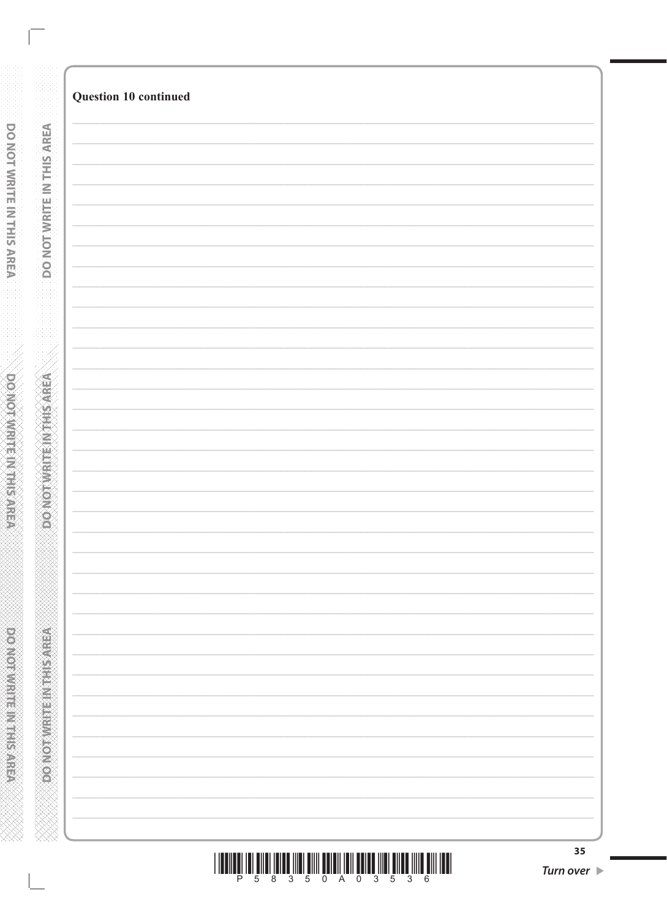| Question 10 continued |
|-----------------------|
|                       |
|                       |
|                       |
|                       |
|                       |
|                       |
|                       |
|                       |
|                       |
|                       |
|                       |
|                       |
|                       |
|                       |
|                       |
|                       |
|                       |
|                       |
|                       |
|                       |
|                       |
|                       |
|                       |
|                       |
|                       |
|                       |
|                       |
|                       |
|                       |
|                       |